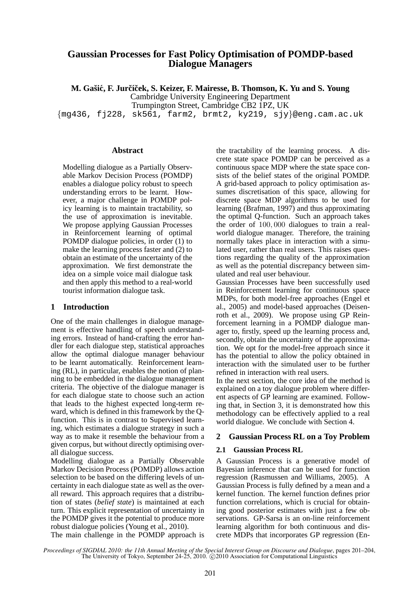# **Gaussian Processes for Fast Policy Optimisation of POMDP-based Dialogue Managers**

**M. Gasiˇ c, F. Jur ´ cˇ´ıcek, S. Keizer, F. Mairesse, B. Thomson, K. Yu and S. Young ˇ** Cambridge University Engineering Department

Trumpington Street, Cambridge CB2 1PZ, UK

 ${mg436, f1228, sk561, farm2, brmt2, ky219, siy\$ 

#### **Abstract**

Modelling dialogue as a Partially Observable Markov Decision Process (POMDP) enables a dialogue policy robust to speech understanding errors to be learnt. However, a major challenge in POMDP policy learning is to maintain tractability, so the use of approximation is inevitable. We propose applying Gaussian Processes in Reinforcement learning of optimal POMDP dialogue policies, in order (1) to make the learning process faster and (2) to obtain an estimate of the uncertainty of the approximation. We first demonstrate the idea on a simple voice mail dialogue task and then apply this method to a real-world tourist information dialogue task.

#### **1 Introduction**

One of the main challenges in dialogue management is effective handling of speech understanding errors. Instead of hand-crafting the error handler for each dialogue step, statistical approaches allow the optimal dialogue manager behaviour to be learnt automatically. Reinforcement learning (RL), in particular, enables the notion of planning to be embedded in the dialogue management criteria. The objective of the dialogue manager is for each dialogue state to choose such an action that leads to the highest expected long-term reward, which is defined in this framework by the Qfunction. This is in contrast to Supervised learning, which estimates a dialogue strategy in such a way as to make it resemble the behaviour from a given corpus, but without directly optimising overall dialogue success.

Modelling dialogue as a Partially Observable Markov Decision Process (POMDP) allows action selection to be based on the differing levels of uncertainty in each dialogue state as well as the overall reward. This approach requires that a distribution of states (*belief state*) is maintained at each turn. This explicit representation of uncertainty in the POMDP gives it the potential to produce more robust dialogue policies (Young et al., 2010).

The main challenge in the POMDP approach is

the tractability of the learning process. A discrete state space POMDP can be perceived as a continuous space MDP where the state space consists of the belief states of the original POMDP. A grid-based approach to policy optimisation assumes discretisation of this space, allowing for discrete space MDP algorithms to be used for learning (Brafman, 1997) and thus approximating the optimal Q-function. Such an approach takes the order of 100, 000 dialogues to train a realworld dialogue manager. Therefore, the training normally takes place in interaction with a simulated user, rather than real users. This raises questions regarding the quality of the approximation as well as the potential discrepancy between simulated and real user behaviour.

Gaussian Processes have been successfully used in Reinforcement learning for continuous space MDPs, for both model-free approaches (Engel et al., 2005) and model-based approaches (Deisenroth et al., 2009). We propose using GP Reinforcement learning in a POMDP dialogue manager to, firstly, speed up the learning process and, secondly, obtain the uncertainty of the approximation. We opt for the model-free approach since it has the potential to allow the policy obtained in interaction with the simulated user to be further refined in interaction with real users.

In the next section, the core idea of the method is explained on a toy dialogue problem where different aspects of GP learning are examined. Following that, in Section 3, it is demonstrated how this methodology can be effectively applied to a real world dialogue. We conclude with Section 4.

#### **2 Gaussian Process RL on a Toy Problem**

#### **2.1 Gaussian Process RL**

A Gaussian Process is a generative model of Bayesian inference that can be used for function regression (Rasmussen and Williams, 2005). A Gaussian Process is fully defined by a mean and a kernel function. The kernel function defines prior function correlations, which is crucial for obtaining good posterior estimates with just a few observations. GP-Sarsa is an on-line reinforcement learning algorithm for both continuous and discrete MDPs that incorporates GP regression (En-

*Proceedings of SIGDIAL 2010: the 11th Annual Meeting of the Special Interest Group on Discourse and Dialogue*, pages 201–204, The University of Tokyo, September 24-25, 2010.  $\odot$  2010 Association for Computational Linguistics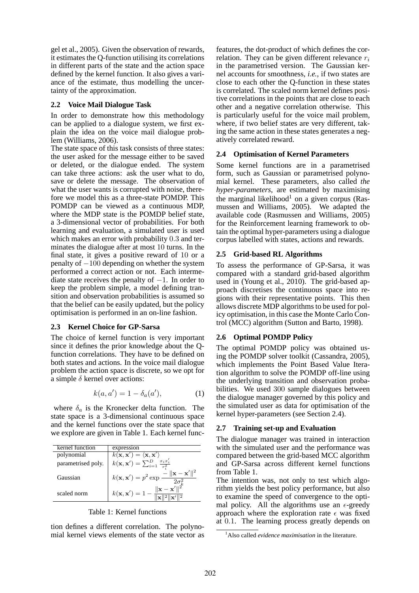gel et al., 2005). Given the observation of rewards, it estimates the Q-function utilising its correlations in different parts of the state and the action space defined by the kernel function. It also gives a variance of the estimate, thus modelling the uncertainty of the approximation.

### **2.2 Voice Mail Dialogue Task**

In order to demonstrate how this methodology can be applied to a dialogue system, we first explain the idea on the voice mail dialogue problem (Williams, 2006).

The state space of this task consists of three states: the user asked for the message either to be saved or deleted, or the dialogue ended. The system can take three actions: ask the user what to do, save or delete the message. The observation of what the user wants is corrupted with noise, therefore we model this as a three-state POMDP. This POMDP can be viewed as a continuous MDP, where the MDP state is the POMDP belief state, a 3-dimensional vector of probabilities. For both learning and evaluation, a simulated user is used which makes an error with probability 0.3 and terminates the dialogue after at most 10 turns. In the final state, it gives a positive reward of 10 or a penalty of −100 depending on whether the system performed a correct action or not. Each intermediate state receives the penalty of  $-1$ . In order to keep the problem simple, a model defining transition and observation probabilities is assumed so that the belief can be easily updated, but the policy optimisation is performed in an on-line fashion.

### **2.3 Kernel Choice for GP-Sarsa**

The choice of kernel function is very important since it defines the prior knowledge about the Qfunction correlations. They have to be defined on both states and actions. In the voice mail dialogue problem the action space is discrete, so we opt for a simple  $\delta$  kernel over actions:

$$
k(a, a') = 1 - \delta_a(a'), \tag{1}
$$

where  $\delta_a$  is the Kronecker delta function. The state space is a 3-dimensional continuous space and the kernel functions over the state space that we explore are given in Table 1. Each kernel func-

| kernel function    | expression                                                                        |
|--------------------|-----------------------------------------------------------------------------------|
| polynomial         | $\overline{k(\mathbf{x}, \mathbf{x}')} = \langle \mathbf{x}, \mathbf{x}' \rangle$ |
| parametrised poly. | $k(\mathbf{x}, \mathbf{x}') = \sum_{i=1}^{D} \frac{x_i x'_i}{r_i^2}$              |
| Gaussian           | $-\ \mathbf{x}-\mathbf{x}'\ ^2$<br>$k(\mathbf{x}, \mathbf{x}') = p^2 \exp$        |
| scaled norm        | $\ \mathbf{x} - \mathbf{x}'\ ^2$<br>$k(\mathbf{x}, \mathbf{x}') = 1 -$            |

|  |  |  | Table 1: Kernel functions |
|--|--|--|---------------------------|
|--|--|--|---------------------------|

tion defines a different correlation. The polynomial kernel views elements of the state vector as

features, the dot-product of which defines the correlation. They can be given different relevance  $r_i$ in the parametrised version. The Gaussian kernel accounts for smoothness, *i.e.,* if two states are close to each other the Q-function in these states is correlated. The scaled norm kernel defines positive correlations in the points that are close to each other and a negative correlation otherwise. This is particularly useful for the voice mail problem, where, if two belief states are very different, taking the same action in these states generates a negatively correlated reward.

### **2.4 Optimisation of Kernel Parameters**

Some kernel functions are in a parametrised form, such as Gaussian or parametrised polynomial kernel. These parameters, also called *the hyper-parameters*, are estimated by maximising the marginal likelihood<sup>1</sup> on a given corpus (Rasmussen and Williams, 2005). We adapted the available code (Rasmussen and Williams, 2005) for the Reinforcement learning framework to obtain the optimal hyper-parameters using a dialogue corpus labelled with states, actions and rewards.

### **2.5 Grid-based RL Algorithms**

To assess the performance of GP-Sarsa, it was compared with a standard grid-based algorithm used in (Young et al., 2010). The grid-based approach discretises the continuous space into regions with their representative points. This then allows discrete MDP algorithms to be used for policy optimisation, in this case the Monte Carlo Control (MCC) algorithm (Sutton and Barto, 1998).

#### **2.6 Optimal POMDP Policy**

The optimal POMDP policy was obtained using the POMDP solver toolkit (Cassandra, 2005), which implements the Point Based Value Iteration algorithm to solve the POMDP off-line using the underlying transition and observation probabilities. We used 300 sample dialogues between the dialogue manager governed by this policy and the simulated user as data for optimisation of the kernel hyper-parameters (see Section 2.4).

#### **2.7 Training set-up and Evaluation**

The dialogue manager was trained in interaction with the simulated user and the performance was compared between the grid-based MCC algorithm and GP-Sarsa across different kernel functions from Table 1.

The intention was, not only to test which algorithm yields the best policy performance, but also to examine the speed of convergence to the optimal policy. All the algorithms use an  $\epsilon$ -greedy approach where the exploration rate  $\epsilon$  was fixed at 0.1. The learning process greatly depends on

<sup>1</sup>Also called *evidence maximisation* in the literature.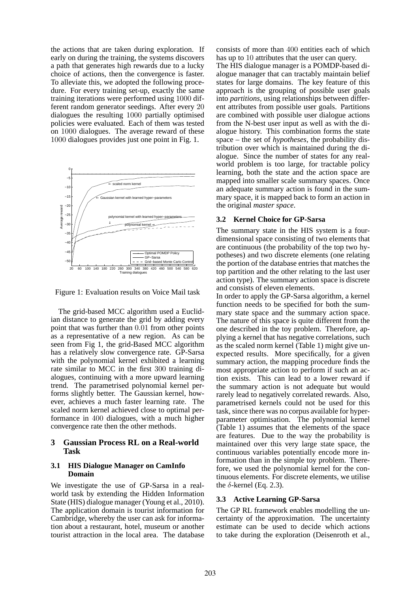the actions that are taken during exploration. If early on during the training, the systems discovers a path that generates high rewards due to a lucky choice of actions, then the convergence is faster. To alleviate this, we adopted the following procedure. For every training set-up, exactly the same training iterations were performed using 1000 different random generator seedings. After every 20 dialogues the resulting 1000 partially optimised policies were evaluated. Each of them was tested on 1000 dialogues. The average reward of these 1000 dialogues provides just one point in Fig. 1.



Figure 1: Evaluation results on Voice Mail task

The grid-based MCC algorithm used a Euclidian distance to generate the grid by adding every point that was further than 0.01 from other points as a representative of a new region. As can be seen from Fig 1, the grid-Based MCC algorithm has a relatively slow convergence rate. GP-Sarsa with the polynomial kernel exhibited a learning rate similar to MCC in the first 300 training dialogues, continuing with a more upward learning trend. The parametrised polynomial kernel performs slightly better. The Gaussian kernel, however, achieves a much faster learning rate. The scaled norm kernel achieved close to optimal performance in 400 dialogues, with a much higher convergence rate then the other methods.

### **3 Gaussian Process RL on a Real-world Task**

#### **3.1 HIS Dialogue Manager on CamInfo Domain**

We investigate the use of GP-Sarsa in a realworld task by extending the Hidden Information State (HIS) dialogue manager (Young et al., 2010). The application domain is tourist information for Cambridge, whereby the user can ask for information about a restaurant, hotel, museum or another tourist attraction in the local area. The database consists of more than 400 entities each of which has up to 10 attributes that the user can query.

The HIS dialogue manager is a POMDP-based dialogue manager that can tractably maintain belief states for large domains. The key feature of this approach is the grouping of possible user goals into *partitions*, using relationships between different attributes from possible user goals. Partitions are combined with possible user dialogue actions from the N-best user input as well as with the dialogue history. This combination forms the state space – the set of *hypotheses*, the probability distribution over which is maintained during the dialogue. Since the number of states for any realworld problem is too large, for tractable policy learning, both the state and the action space are mapped into smaller scale summary spaces. Once an adequate summary action is found in the summary space, it is mapped back to form an action in the original *master space*.

#### **3.2 Kernel Choice for GP-Sarsa**

The summary state in the HIS system is a fourdimensional space consisting of two elements that are continuous (the probability of the top two hypotheses) and two discrete elements (one relating the portion of the database entries that matches the top partition and the other relating to the last user action type). The summary action space is discrete and consists of eleven elements.

In order to apply the GP-Sarsa algorithm, a kernel function needs to be specified for both the summary state space and the summary action space. The nature of this space is quite different from the one described in the toy problem. Therefore, applying a kernel that has negative correlations, such as the scaled norm kernel (Table 1) might give unexpected results. More specifically, for a given summary action, the mapping procedure finds the most appropriate action to perform if such an action exists. This can lead to a lower reward if the summary action is not adequate but would rarely lead to negatively correlated rewards. Also, parametrised kernels could not be used for this task, since there was no corpus available for hyperparameter optimisation. The polynomial kernel (Table 1) assumes that the elements of the space are features. Due to the way the probability is maintained over this very large state space, the continuous variables potentially encode more information than in the simple toy problem. Therefore, we used the polynomial kernel for the continuous elements. For discrete elements, we utilise the  $\delta$ -kernel (Eq. 2.3).

### **3.3 Active Learning GP-Sarsa**

The GP RL framework enables modelling the uncertainty of the approximation. The uncertainty estimate can be used to decide which actions to take during the exploration (Deisenroth et al.,